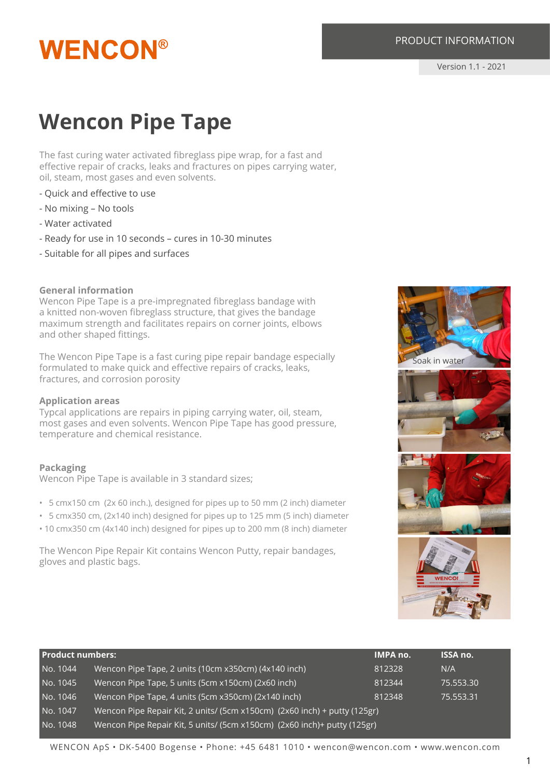## **WENCON®**

#### PRODUCT INFORMATION

Version 1.1 - 2021

### **Wencon Pipe Tape**

The fast curing water activated fibreglass pipe wrap, for a fast and effective repair of cracks, leaks and fractures on pipes carrying water, oil, steam, most gases and even solvents.

- Quick and effective to use
- No mixing No tools
- Water activated
- Ready for use in 10 seconds cures in 10-30 minutes
- Suitable for all pipes and surfaces

#### **General information**

Wencon Pipe Tape is a pre-impregnated fibreglass bandage with a knitted non-woven fibreglass structure, that gives the bandage maximum strength and facilitates repairs on corner joints, elbows and other shaped fittings.

The Wencon Pipe Tape is a fast curing pipe repair bandage especially formulated to make quick and effective repairs of cracks, leaks, fractures, and corrosion porosity

#### **Application areas**

Typcal applications are repairs in piping carrying water, oil, steam, most gases and even solvents. Wencon Pipe Tape has good pressure, temperature and chemical resistance.

#### **Packaging**

Wencon Pipe Tape is available in 3 standard sizes;

- 5 cmx150 cm (2x 60 inch.), designed for pipes up to 50 mm (2 inch) diameter
- 5 cmx350 cm, (2x140 inch) designed for pipes up to 125 mm (5 inch) diameter
- 10 cmx350 cm (4x140 inch) designed for pipes up to 200 mm (8 inch) diameter

The Wencon Pipe Repair Kit contains Wencon Putty, repair bandages, gloves and plastic bags.

| <b>Product numbers:</b> |                                                                           | <b>IMPA no.</b> | <b>ISSA no.</b> |
|-------------------------|---------------------------------------------------------------------------|-----------------|-----------------|
| No. 1044                | Wencon Pipe Tape, 2 units (10cm x350cm) (4x140 inch)                      | 812328          | N/A             |
| No. 1045                | Wencon Pipe Tape, 5 units (5cm x150cm) (2x60 inch)                        | 812344          | 75.553.30       |
| No. 1046                | Wencon Pipe Tape, 4 units (5cm x350cm) (2x140 inch)                       | 812348          | 75.553.31       |
| No. 1047                | Wencon Pipe Repair Kit, 2 units/ (5cm x150cm) (2x60 inch) + putty (125gr) |                 |                 |
| No. 1048                | Wencon Pipe Repair Kit, 5 units/ (5cm x150cm) (2x60 inch)+ putty (125gr)  |                 |                 |